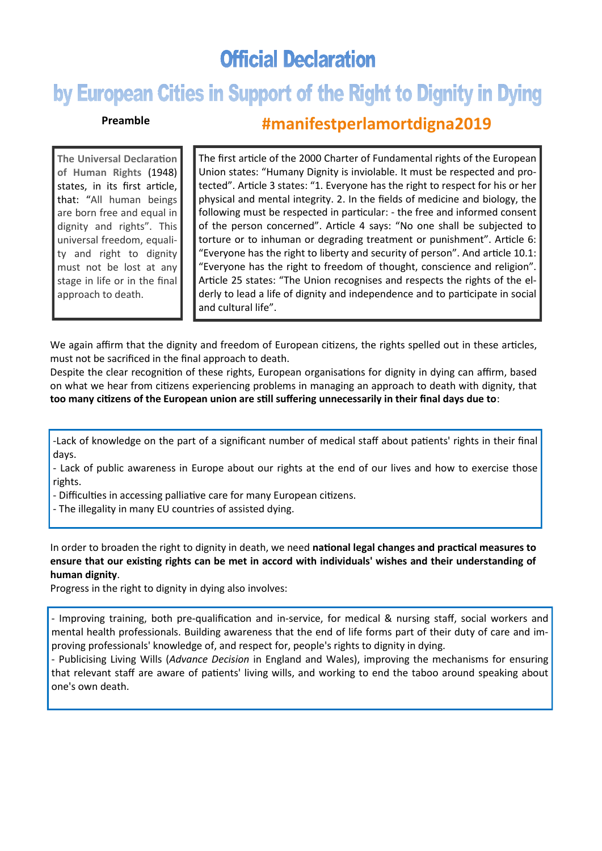## **Official Declaration**

# by European Cities in Support of the Right to Dignity in Dying

#### **Preamble**

### **#manifestperlamortdigna2019**

**The Universal Declaration of Human Rights** (1948) states, in its first article, that: "All human beings are born free and equal in dignity and rights". This universal freedom, equality and right to dignity must not be lost at any stage in life or in the final approach to death.

The first article of the 2000 Charter of Fundamental rights of the European Union states: "Humany Dignity is inviolable. It must be respected and protected". Article 3 states: "1. Everyone has the right to respect for his or her physical and mental integrity. 2. In the fields of medicine and biology, the following must be respected in particular: - the free and informed consent of the person concerned". Article 4 says: "No one shall be subjected to torture or to inhuman or degrading treatment or punishment". Article 6: "Everyone has the right to liberty and security of person". And article 10.1: "Everyone has the right to freedom of thought, conscience and religion". Article 25 states: "The Union recognises and respects the rights of the elderly to lead a life of dignity and independence and to participate in social and cultural life".

We again affirm that the dignity and freedom of European citizens, the rights spelled out in these articles, must not be sacrificed in the final approach to death.

Despite the clear recognition of these rights, European organisations for dignity in dying can affirm, based on what we hear from citizens experiencing problems in managing an approach to death with dignity, that **too many citizens of the European union are still suffering unnecessarily in their final days due to**:

-Lack of knowledge on the part of a significant number of medical staff about patients' rights in their final days.

- Lack of public awareness in Europe about our rights at the end of our lives and how to exercise those rights.

- Difficulties in accessing palliative care for many European citizens.

- The illegality in many EU countries of assisted dying.

In order to broaden the right to dignity in death, we need **national legal changes and practical measures to ensure that our existing rights can be met in accord with individuals' wishes and their understanding of human dignity**.

Progress in the right to dignity in dying also involves:

- Improving training, both pre-qualification and in-service, for medical & nursing staff, social workers and mental health professionals. Building awareness that the end of life forms part of their duty of care and improving professionals' knowledge of, and respect for, people's rights to dignity in dying.

- Publicising Living Wills (*Advance Decision* in England and Wales), improving the mechanisms for ensuring that relevant staff are aware of patients' living wills, and working to end the taboo around speaking about one's own death.